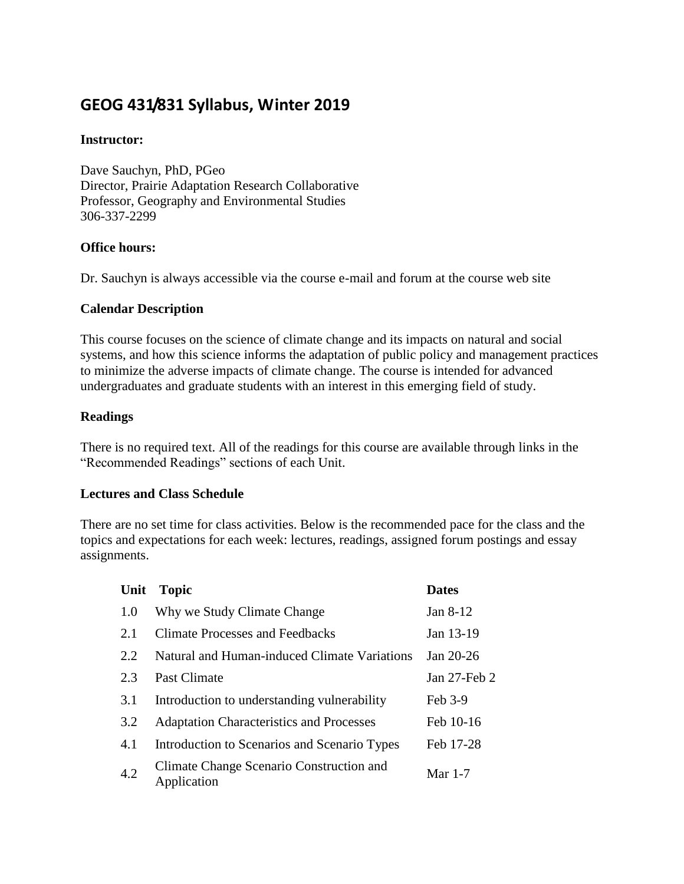# **GEOG 431/831 Syllabus, Winter 2019**

### **Instructor:**

Dave Sauchyn, PhD, PGeo Director, Prairie Adaptation Research Collaborative Professor, Geography and Environmental Studies 306-337-2299

### **Office hours:**

Dr. Sauchyn is always accessible via the course e-mail and forum at the course web site

### **Calendar Description**

This course focuses on the science of climate change and its impacts on natural and social systems, and how this science informs the adaptation of public policy and management practices to minimize the adverse impacts of climate change. The course is intended for advanced undergraduates and graduate students with an interest in this emerging field of study.

### **Readings**

There is no required text. All of the readings for this course are available through links in the "Recommended Readings" sections of each Unit.

#### **Lectures and Class Schedule**

There are no set time for class activities. Below is the recommended pace for the class and the topics and expectations for each week: lectures, readings, assigned forum postings and essay assignments.

| Unit | <b>Topic</b>                                            | <b>Dates</b>      |
|------|---------------------------------------------------------|-------------------|
| 1.0  | Why we Study Climate Change                             | Jan 8-12          |
| 2.1  | Climate Processes and Feedbacks                         | Jan 13-19         |
| 2.2  | Natural and Human-induced Climate Variations            | Jan $20-26$       |
| 2.3  | Past Climate                                            | Jan $27$ -Feb $2$ |
| 3.1  | Introduction to understanding vulnerability             | Feb 3-9           |
| 3.2  | <b>Adaptation Characteristics and Processes</b>         | Feb 10-16         |
| 4.1  | Introduction to Scenarios and Scenario Types            | Feb 17-28         |
| 4.2  | Climate Change Scenario Construction and<br>Application | <b>Mar</b> 1-7    |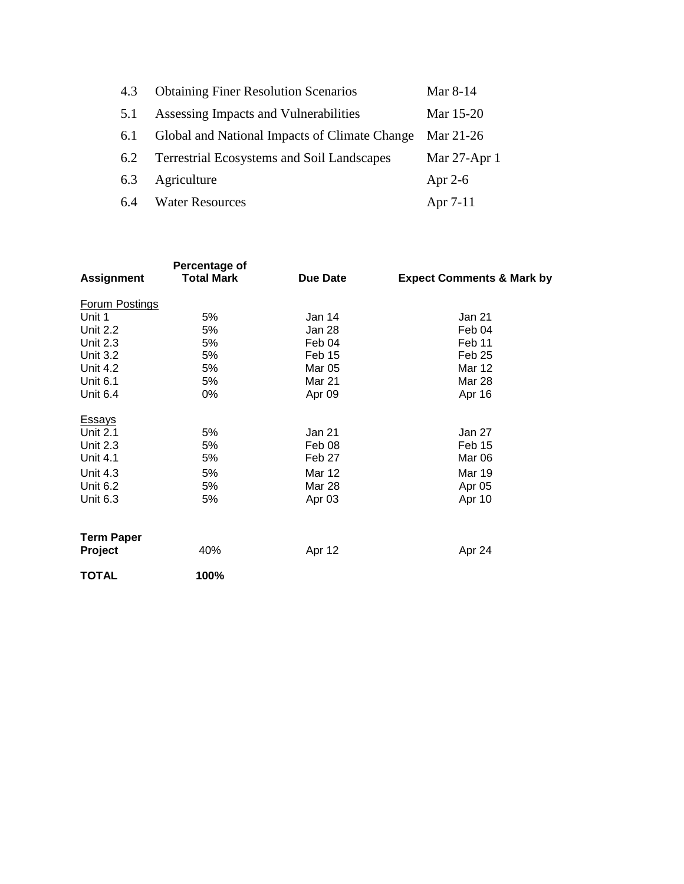| 4.3 | <b>Obtaining Finer Resolution Scenarios</b>       | Mar 8-14        |
|-----|---------------------------------------------------|-----------------|
| 5.1 | Assessing Impacts and Vulnerabilities             | Mar 15-20       |
| 6.1 | Global and National Impacts of Climate Change     | Mar 21-26       |
| 6.2 | <b>Terrestrial Ecosystems and Soil Landscapes</b> | Mar $27$ -Apr 1 |
| 6.3 | Agriculture                                       | Apr $2-6$       |
| 6.4 | <b>Water Resources</b>                            | Apr 7-11        |

| <b>Assignment</b>            | Percentage of<br><b>Total Mark</b> | Due Date      | <b>Expect Comments &amp; Mark by</b> |
|------------------------------|------------------------------------|---------------|--------------------------------------|
| <b>Forum Postings</b>        |                                    |               |                                      |
| Unit 1                       | 5%                                 | Jan 14        | Jan 21                               |
| Unit 2.2                     | 5%                                 | Jan 28        | Feb <sub>04</sub>                    |
| Unit 2.3                     | 5%                                 | Feb 04        | Feb 11                               |
| <b>Unit 3.2</b>              | 5%                                 | Feb 15        | Feb <sub>25</sub>                    |
| <b>Unit 4.2</b>              | 5%                                 | Mar 05        | <b>Mar 12</b>                        |
| <b>Unit 6.1</b>              | 5%                                 | Mar 21        | Mar 28                               |
| Unit 6.4                     | 0%                                 | Apr 09        | Apr 16                               |
| <u>Essays</u>                |                                    |               |                                      |
| <b>Unit 2.1</b>              | 5%                                 | Jan 21        | Jan 27                               |
| Unit 2.3                     | 5%                                 | Feb 08        | Feb 15                               |
| <b>Unit 4.1</b>              | 5%                                 | Feb 27        | Mar 06                               |
| <b>Unit 4.3</b>              | 5%                                 | <b>Mar 12</b> | <b>Mar 19</b>                        |
| <b>Unit 6.2</b>              | 5%                                 | Mar 28        | Apr 05                               |
| Unit 6.3                     | 5%                                 | Apr 03        | Apr 10                               |
| <b>Term Paper</b><br>Project | 40%                                | Apr 12        | Apr 24                               |
| <b>TOTAL</b>                 | 100%                               |               |                                      |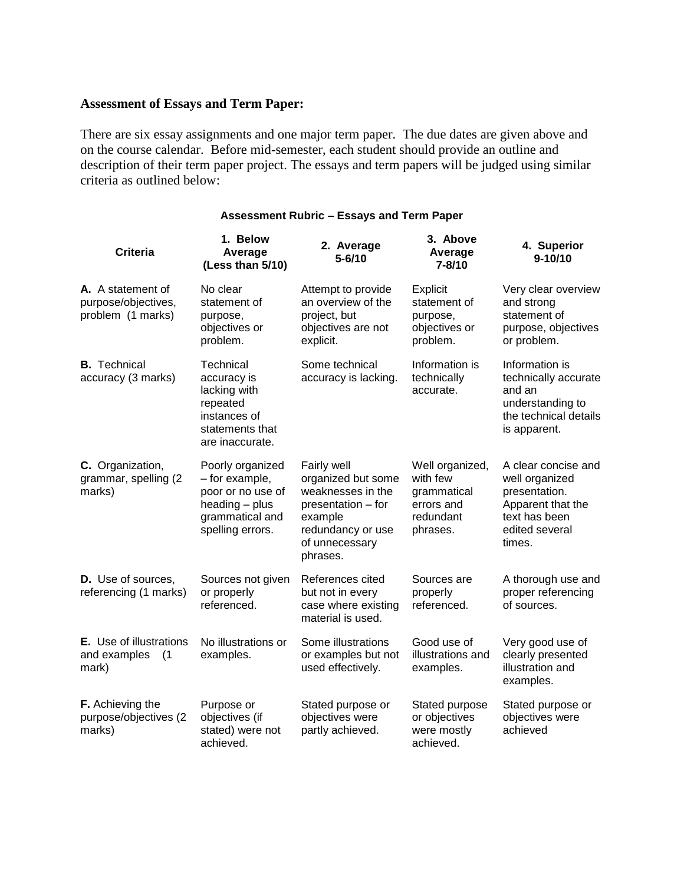## **Assessment of Essays and Term Paper:**

There are six essay assignments and one major term paper. The due dates are given above and on the course calendar. Before mid-semester, each student should provide an outline and description of their term paper project. The essays and term papers will be judged using similar criteria as outlined below:

| <b>Criteria</b>                                                      | 1. Below<br>Average<br>(Less than 5/10)                                                                          | 2. Average<br>$5 - 6/10$                                                                                                                   | 3. Above<br>Average<br>$7 - 8/10$                                                 | 4. Superior<br>$9 - 10/10$                                                                                               |
|----------------------------------------------------------------------|------------------------------------------------------------------------------------------------------------------|--------------------------------------------------------------------------------------------------------------------------------------------|-----------------------------------------------------------------------------------|--------------------------------------------------------------------------------------------------------------------------|
| <b>A.</b> A statement of<br>purpose/objectives,<br>problem (1 marks) | No clear<br>statement of<br>purpose,<br>objectives or<br>problem.                                                | Attempt to provide<br>an overview of the<br>project, but<br>objectives are not<br>explicit.                                                | Explicit<br>statement of<br>purpose,<br>objectives or<br>problem.                 | Very clear overview<br>and strong<br>statement of<br>purpose, objectives<br>or problem.                                  |
| <b>B.</b> Technical<br>accuracy (3 marks)                            | Technical<br>accuracy is<br>lacking with<br>repeated<br>instances of<br>statements that<br>are inaccurate.       | Some technical<br>accuracy is lacking.                                                                                                     | Information is<br>technically<br>accurate.                                        | Information is<br>technically accurate<br>and an<br>understanding to<br>the technical details<br>is apparent.            |
| C. Organization,<br>grammar, spelling (2<br>marks)                   | Poorly organized<br>- for example,<br>poor or no use of<br>heading - plus<br>grammatical and<br>spelling errors. | Fairly well<br>organized but some<br>weaknesses in the<br>presentation - for<br>example<br>redundancy or use<br>of unnecessary<br>phrases. | Well organized,<br>with few<br>grammatical<br>errors and<br>redundant<br>phrases. | A clear concise and<br>well organized<br>presentation.<br>Apparent that the<br>text has been<br>edited several<br>times. |
| <b>D.</b> Use of sources,<br>referencing (1 marks)                   | Sources not given<br>or properly<br>referenced.                                                                  | References cited<br>but not in every<br>case where existing<br>material is used.                                                           | Sources are<br>properly<br>referenced.                                            | A thorough use and<br>proper referencing<br>of sources.                                                                  |
| <b>E.</b> Use of illustrations<br>and examples<br>(1)<br>mark)       | No illustrations or<br>examples.                                                                                 | Some illustrations<br>or examples but not<br>used effectively.                                                                             | Good use of<br>illustrations and<br>examples.                                     | Very good use of<br>clearly presented<br>illustration and<br>examples.                                                   |
| <b>F.</b> Achieving the<br>purpose/objectives (2<br>marks)           | Purpose or<br>objectives (if<br>stated) were not<br>achieved.                                                    | Stated purpose or<br>objectives were<br>partly achieved.                                                                                   | Stated purpose<br>or objectives<br>were mostly<br>achieved.                       | Stated purpose or<br>objectives were<br>achieved                                                                         |

#### **Assessment Rubric – Essays and Term Paper**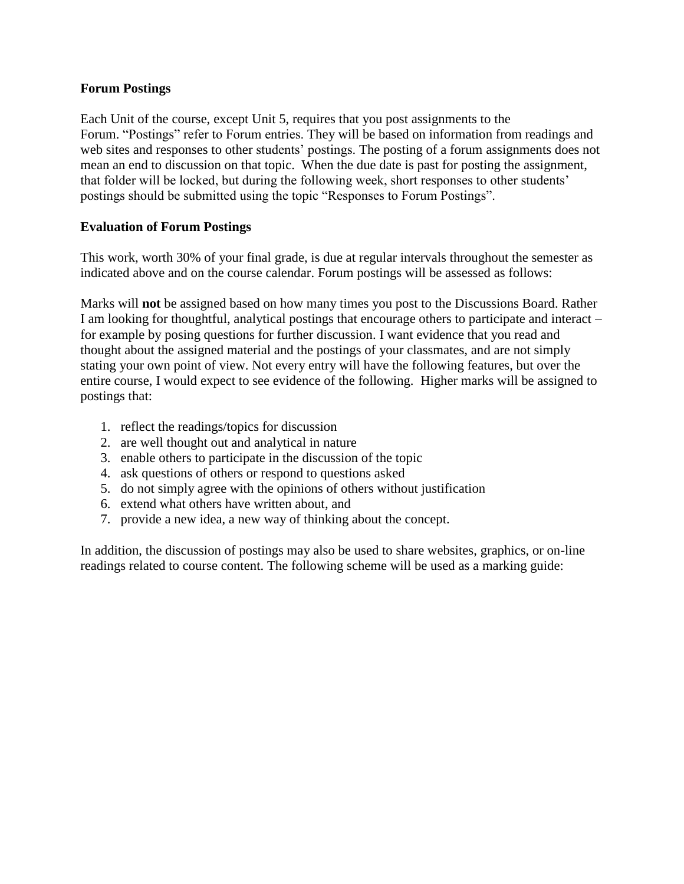### **Forum Postings**

Each Unit of the course, except Unit 5, requires that you post assignments to the Forum. "Postings" refer to Forum entries. They will be based on information from readings and web sites and responses to other students' postings. The posting of a forum assignments does not mean an end to discussion on that topic. When the due date is past for posting the assignment, that folder will be locked, but during the following week, short responses to other students' postings should be submitted using the topic "Responses to Forum Postings".

## **Evaluation of Forum Postings**

This work, worth 30% of your final grade, is due at regular intervals throughout the semester as indicated above and on the course calendar. Forum postings will be assessed as follows:

Marks will **not** be assigned based on how many times you post to the Discussions Board. Rather I am looking for thoughtful, analytical postings that encourage others to participate and interact – for example by posing questions for further discussion. I want evidence that you read and thought about the assigned material and the postings of your classmates, and are not simply stating your own point of view. Not every entry will have the following features, but over the entire course, I would expect to see evidence of the following. Higher marks will be assigned to postings that:

- 1. reflect the readings/topics for discussion
- 2. are well thought out and analytical in nature
- 3. enable others to participate in the discussion of the topic
- 4. ask questions of others or respond to questions asked
- 5. do not simply agree with the opinions of others without justification
- 6. extend what others have written about, and
- 7. provide a new idea, a new way of thinking about the concept.

In addition, the discussion of postings may also be used to share websites, graphics, or on-line readings related to course content. The following scheme will be used as a marking guide: